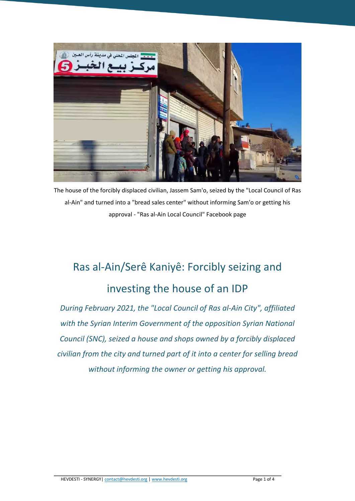

The house of the forcibly displaced civilian, Jassem Sam'o, seized by the "Local Council of Ras al-Ain" and turned into a "bread sales center" without informing Sam'o or getting his approval - "Ras al-Ain Local Council" Facebook page

## Ras al-Ain/Serê Kaniyê: Forcibly seizing and investing the house of an IDP

*During February 2021, the "Local Council of Ras al-Ain City", affiliated with the Syrian Interim Government of the opposition Syrian National Council (SNC), seized a house and shops owned by a forcibly displaced civilian from the city and turned part of it into a center for selling bread without informing the owner or getting his approval.*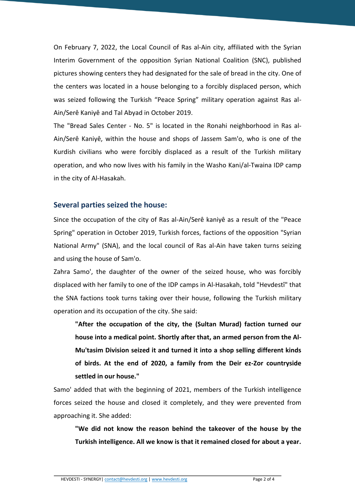On February 7, 2022, the Local Council of Ras al-Ain city, affiliated with the Syrian Interim Government of the opposition Syrian National Coalition (SNC), published pictures showing centers they had designated for the sale of bread in the city. One of the centers was located in a house belonging to a forcibly displaced person, which was seized following the Turkish "Peace Spring" military operation against Ras al-Ain/Serê Kaniyê and Tal Abyad in October 2019.

The "Bread Sales Center - No. 5" is located in the Ronahi neighborhood in Ras al-Ain/Serê Kaniyê, within the house and shops of Jassem Sam'o, who is one of the Kurdish civilians who were forcibly displaced as a result of the Turkish military operation, and who now lives with his family in the Washo Kani/al-Twaina IDP camp in the city of Al-Hasakah.

## **Several parties seized the house:**

Since the occupation of the city of Ras al-Ain/Serê kaniyê as a result of the "Peace Spring" operation in October 2019, Turkish forces, factions of the opposition "Syrian National Army" (SNA), and the local council of Ras al-Ain have taken turns seizing and using the house of Sam'o.

Zahra Samo', the daughter of the owner of the seized house, who was forcibly displaced with her family to one of the IDP camps in Al-Hasakah, told "Hevdestî" that the SNA factions took turns taking over their house, following the Turkish military operation and its occupation of the city. She said:

**"After the occupation of the city, the (Sultan Murad) faction turned our house into a medical point. Shortly after that, an armed person from the Al-Mu'tasim Division seized it and turned it into a shop selling different kinds of birds. At the end of 2020, a family from the Deir ez-Zor countryside settled in our house."**

Samo' added that with the beginning of 2021, members of the Turkish intelligence forces seized the house and closed it completely, and they were prevented from approaching it. She added:

**"We did not know the reason behind the takeover of the house by the Turkish intelligence. All we know is that it remained closed for about a year.**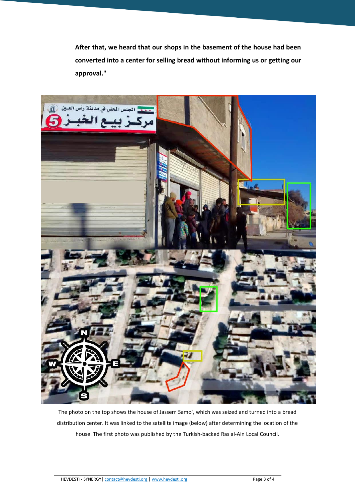**After that, we heard that our shops in the basement of the house had been converted into a center for selling bread without informing us or getting our approval."**



The photo on the top shows the house of Jassem Samo', which was seized and turned into a bread distribution center. It was linked to the satellite image (below) after determining the location of the house. The first photo was published by the Turkish-backed Ras al-Ain Local Council.